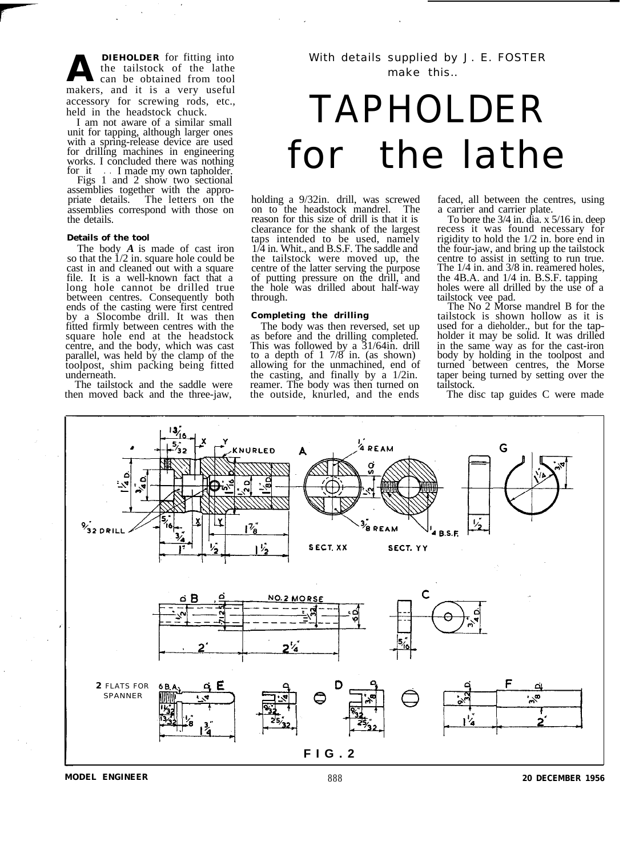**A DIEHOLDER** for fitting into<br>the tailstock of the lathe<br>can be obtained from tool the tailstock of the lathe can be obtained from tool makers, and it is a very useful accessory for screwing rods, etc., held in the headstock chuck.

I am not aware of a similar small unit for tapping, although larger ones with a spring-release device are used for drilling machines in engineering works. I concluded there was nothing<br>for it I made my own tapholder.

Figs 1 and 2 show two sectional assemblies together with the appro-<br>priate details. The letters on the The letters on the assemblies correspond with those on the details.

### **Details of the tool**

The body *A* is made of cast iron<br>so that the  $1/2$  in. square hole could be cast in and cleaned out with a square file. It is a well-known fact that a long hole cannot be drilled true between centres. Consequently both ends of the casting were first centred by a Slocombe drill. It was then fitted firmly between centres with the square hole end at the headstock centre, and the body, which was cast parallel, was held by the clamp of the toolpost, shim packing being fitted underneath.

The tailstock and the saddle were then moved back and the three-jaw,

# TAPHOLDER for the lathe

holding a 9/32in. drill, was screwed<br>on to the headstock mandrel. The on to the headstock mandrel. reason for this size of drill is that it is clearance for the shank of the largest taps intended to be used, namely 1/4 in. Whit., and B.S.F. The saddle and the tailstock were moved up, the centre of the latter serving the purpose of putting pressure on the drill, and the hole was drilled about half-way through.

## **Completing the drilling**

The body was then reversed, set up as before and the drilling completed. This was followed by a 31/64in. drill to a depth of 1 7/8 in. (as shown) allowing for the unmachined, end of the casting, and finally by a 1/2in. reamer. The body was then turned on the outside, knurled, and the ends faced, all between the centres, using

a carrier and carrier plate.<br>To bore the  $3/4$  in. dia. x  $5/16$  in. deep recess it was found necessary for. rigidity to hold the 1/2 in. bore end in the four-jaw, and bring up the tailstock centre to assist in setting to run true. The  $1/4$  in. and  $3/8$  in. reamered holes, the 4B.A. and 1/4 in. B.S.F. tapping holes were all drilled by the use of a

tailstock vee pad. The No 2 Morse mandrel B for the tailstock is shown hollow as it is holder it may be solid. It was drilled in the same way as for the cast-iron body by holding in the toolpost and turned between centres, the Morse taper being turned by setting over the tailstock.

The disc tap guides C were made